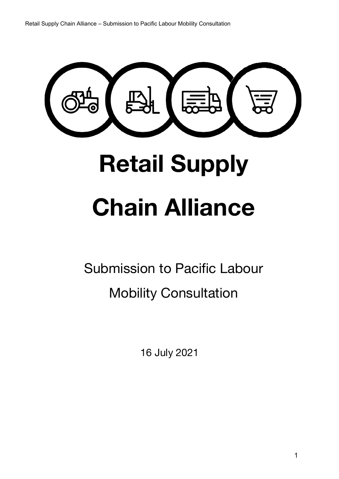Retail Supply Chain Alliance – Submission to Pacific Labour Mobility Consultation

# **Retail Supply Chain Alliance**

Submission to Pacific Labour Mobility Consultation

16 July 2021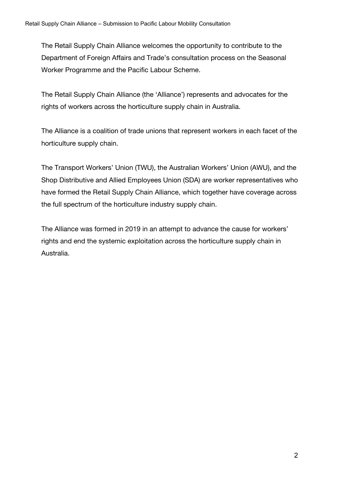The Retail Supply Chain Alliance welcomes the opportunity to contribute to the Department of Foreign Affairs and Trade's consultation process on the Seasonal Worker Programme and the Pacific Labour Scheme.

The Retail Supply Chain Alliance (the 'Alliance') represents and advocates for the rights of workers across the horticulture supply chain in Australia.

The Alliance is a coalition of trade unions that represent workers in each facet of the horticulture supply chain.

The Transport Workers' Union (TWU), the Australian Workers' Union (AWU), and the Shop Distributive and Allied Employees Union (SDA) are worker representatives who have formed the Retail Supply Chain Alliance, which together have coverage across the full spectrum of the horticulture industry supply chain.

The Alliance was formed in 2019 in an attempt to advance the cause for workers' rights and end the systemic exploitation across the horticulture supply chain in Australia.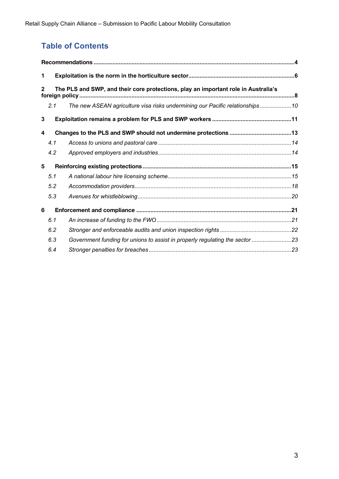# **Table of Contents**

| 1                                                                                                    |     |                                                                              |  |
|------------------------------------------------------------------------------------------------------|-----|------------------------------------------------------------------------------|--|
| The PLS and SWP, and their core protections, play an important role in Australia's<br>$\overline{2}$ |     |                                                                              |  |
|                                                                                                      | 2.1 | The new ASEAN agriculture visa risks undermining our Pacific relationships10 |  |
| 3                                                                                                    |     |                                                                              |  |
| 4                                                                                                    |     |                                                                              |  |
|                                                                                                      | 4.1 |                                                                              |  |
|                                                                                                      | 4.2 |                                                                              |  |
| 5                                                                                                    |     |                                                                              |  |
|                                                                                                      | 5.1 |                                                                              |  |
|                                                                                                      | 5.2 |                                                                              |  |
|                                                                                                      | 5.3 |                                                                              |  |
| 6                                                                                                    |     |                                                                              |  |
|                                                                                                      | 6.1 |                                                                              |  |
|                                                                                                      | 6.2 |                                                                              |  |
|                                                                                                      | 6.3 | Government funding for unions to assist in properly regulating the sector 23 |  |
|                                                                                                      | 6.4 |                                                                              |  |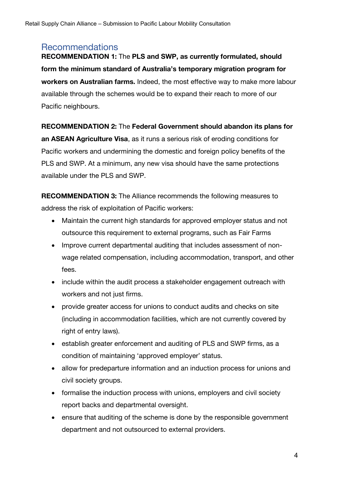## Recommendations

**RECOMMENDATION 1:** The **PLS and SWP, as currently formulated, should form the minimum standard of Australia's temporary migration program for workers on Australian farms.** Indeed, the most effective way to make more labour available through the schemes would be to expand their reach to more of our Pacific neighbours.

#### **RECOMMENDATION 2:** The **Federal Government should abandon its plans for**

**an ASEAN Agriculture Visa**, as it runs a serious risk of eroding conditions for Pacific workers and undermining the domestic and foreign policy benefits of the PLS and SWP. At a minimum, any new visa should have the same protections available under the PLS and SWP.

**RECOMMENDATION 3:** The Alliance recommends the following measures to address the risk of exploitation of Pacific workers:

- Maintain the current high standards for approved employer status and not outsource this requirement to external programs, such as Fair Farms
- Improve current departmental auditing that includes assessment of nonwage related compensation, including accommodation, transport, and other fees.
- include within the audit process a stakeholder engagement outreach with workers and not just firms.
- provide greater access for unions to conduct audits and checks on site (including in accommodation facilities, which are not currently covered by right of entry laws).
- establish greater enforcement and auditing of PLS and SWP firms, as a condition of maintaining 'approved employer' status.
- allow for predeparture information and an induction process for unions and civil society groups.
- formalise the induction process with unions, employers and civil society report backs and departmental oversight.
- ensure that auditing of the scheme is done by the responsible government department and not outsourced to external providers.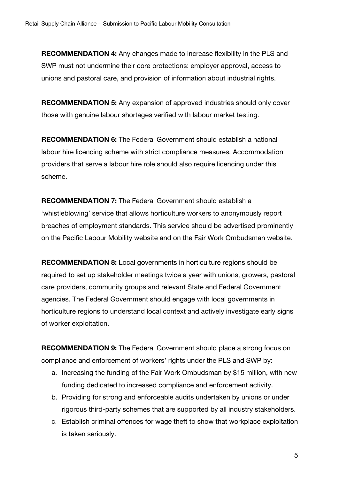**RECOMMENDATION 4:** Any changes made to increase flexibility in the PLS and SWP must not undermine their core protections: employer approval, access to unions and pastoral care, and provision of information about industrial rights.

**RECOMMENDATION 5:** Any expansion of approved industries should only cover those with genuine labour shortages verified with labour market testing.

**RECOMMENDATION 6:** The Federal Government should establish a national labour hire licencing scheme with strict compliance measures. Accommodation providers that serve a labour hire role should also require licencing under this scheme.

**RECOMMENDATION 7:** The Federal Government should establish a 'whistleblowing' service that allows horticulture workers to anonymously report breaches of employment standards. This service should be advertised prominently on the Pacific Labour Mobility website and on the Fair Work Ombudsman website.

**RECOMMENDATION 8:** Local governments in horticulture regions should be required to set up stakeholder meetings twice a year with unions, growers, pastoral care providers, community groups and relevant State and Federal Government agencies. The Federal Government should engage with local governments in horticulture regions to understand local context and actively investigate early signs of worker exploitation.

**RECOMMENDATION 9:** The Federal Government should place a strong focus on compliance and enforcement of workers' rights under the PLS and SWP by:

- a. Increasing the funding of the Fair Work Ombudsman by \$15 million, with new funding dedicated to increased compliance and enforcement activity.
- b. Providing for strong and enforceable audits undertaken by unions or under rigorous third-party schemes that are supported by all industry stakeholders.
- c. Establish criminal offences for wage theft to show that workplace exploitation is taken seriously.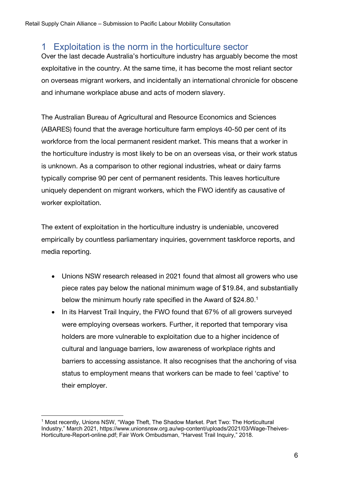# 1 Exploitation is the norm in the horticulture sector

Over the last decade Australia's horticulture industry has arguably become the most exploitative in the country. At the same time, it has become the most reliant sector on overseas migrant workers, and incidentally an international chronicle for obscene and inhumane workplace abuse and acts of modern slavery.

The Australian Bureau of Agricultural and Resource Economics and Sciences (ABARES) found that the average horticulture farm employs 40-50 per cent of its workforce from the local permanent resident market. This means that a worker in the horticulture industry is most likely to be on an overseas visa, or their work status is unknown. As a comparison to other regional industries, wheat or dairy farms typically comprise 90 per cent of permanent residents. This leaves horticulture uniquely dependent on migrant workers, which the FWO identify as causative of worker exploitation.

The extent of exploitation in the horticulture industry is undeniable, uncovered empirically by countless parliamentary inquiries, government taskforce reports, and media reporting.

- Unions NSW research released in 2021 found that almost all growers who use piece rates pay below the national minimum wage of \$19.84, and substantially below the minimum hourly rate specified in the Award of \$24.80.<sup>1</sup>
- In its Harvest Trail Inquiry, the FWO found that 67% of all growers surveyed were employing overseas workers. Further, it reported that temporary visa holders are more vulnerable to exploitation due to a higher incidence of cultural and language barriers, low awareness of workplace rights and barriers to accessing assistance. It also recognises that the anchoring of visa status to employment means that workers can be made to feel 'captive' to their employer.

<sup>&</sup>lt;sup>1</sup> Most recently, Unions NSW, "Wage Theft, The Shadow Market. Part Two: The Horticultural Industry," March 2021, https://www.unionsnsw.org.au/wp-content/uploads/2021/03/Wage-Theives-Horticulture-Report-online.pdf; Fair Work Ombudsman, "Harvest Trail Inquiry," 2018.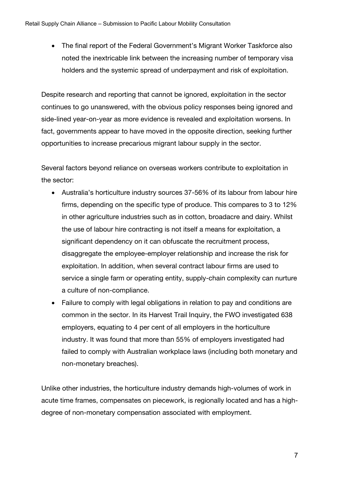• The final report of the Federal Government's Migrant Worker Taskforce also noted the inextricable link between the increasing number of temporary visa holders and the systemic spread of underpayment and risk of exploitation.

Despite research and reporting that cannot be ignored, exploitation in the sector continues to go unanswered, with the obvious policy responses being ignored and side-lined year-on-year as more evidence is revealed and exploitation worsens. In fact, governments appear to have moved in the opposite direction, seeking further opportunities to increase precarious migrant labour supply in the sector.

Several factors beyond reliance on overseas workers contribute to exploitation in the sector:

- Australia's horticulture industry sources 37-56% of its labour from labour hire firms, depending on the specific type of produce. This compares to 3 to 12% in other agriculture industries such as in cotton, broadacre and dairy. Whilst the use of labour hire contracting is not itself a means for exploitation, a significant dependency on it can obfuscate the recruitment process, disaggregate the employee-employer relationship and increase the risk for exploitation. In addition, when several contract labour firms are used to service a single farm or operating entity, supply-chain complexity can nurture a culture of non-compliance.
- Failure to comply with legal obligations in relation to pay and conditions are common in the sector. In its Harvest Trail Inquiry, the FWO investigated 638 employers, equating to 4 per cent of all employers in the horticulture industry. It was found that more than 55% of employers investigated had failed to comply with Australian workplace laws (including both monetary and non-monetary breaches).

Unlike other industries, the horticulture industry demands high-volumes of work in acute time frames, compensates on piecework, is regionally located and has a highdegree of non-monetary compensation associated with employment.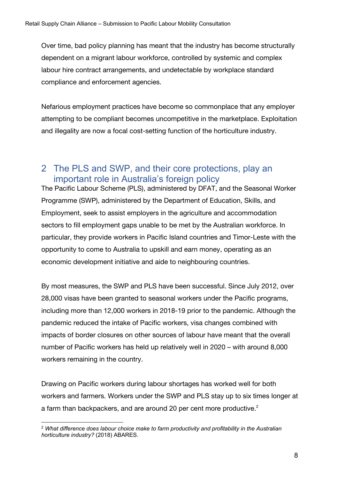Over time, bad policy planning has meant that the industry has become structurally dependent on a migrant labour workforce, controlled by systemic and complex labour hire contract arrangements, and undetectable by workplace standard compliance and enforcement agencies.

Nefarious employment practices have become so commonplace that any employer attempting to be compliant becomes uncompetitive in the marketplace. Exploitation and illegality are now a focal cost-setting function of the horticulture industry.

## 2 The PLS and SWP, and their core protections, play an important role in Australia's foreign policy

The Pacific Labour Scheme (PLS), administered by DFAT, and the Seasonal Worker Programme (SWP), administered by the Department of Education, Skills, and Employment, seek to assist employers in the agriculture and accommodation sectors to fill employment gaps unable to be met by the Australian workforce. In particular, they provide workers in Pacific Island countries and Timor-Leste with the opportunity to come to Australia to upskill and earn money, operating as an economic development initiative and aide to neighbouring countries.

By most measures, the SWP and PLS have been successful. Since July 2012, over 28,000 visas have been granted to seasonal workers under the Pacific programs, including more than 12,000 workers in 2018-19 prior to the pandemic. Although the pandemic reduced the intake of Pacific workers, visa changes combined with impacts of border closures on other sources of labour have meant that the overall number of Pacific workers has held up relatively well in 2020 – with around 8,000 workers remaining in the country.

Drawing on Pacific workers during labour shortages has worked well for both workers and farmers. Workers under the SWP and PLS stay up to six times longer at a farm than backpackers, and are around 20 per cent more productive. $^2$ 

<sup>2</sup> *What difference does labour choice make to farm productivity and profitability in the Australian horticulture industry?* (2018) ABARES.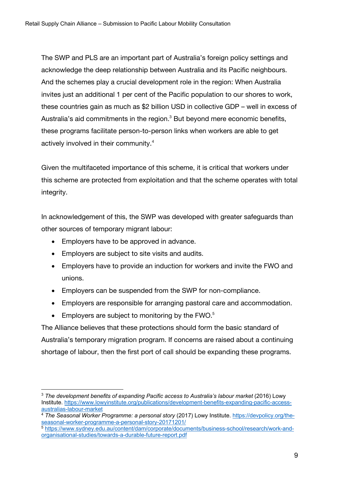The SWP and PLS are an important part of Australia's foreign policy settings and acknowledge the deep relationship between Australia and its Pacific neighbours. And the schemes play a crucial development role in the region: When Australia invites just an additional 1 per cent of the Pacific population to our shores to work, these countries gain as much as \$2 billion USD in collective GDP – well in excess of Australia's aid commitments in the region.<sup>3</sup> But beyond mere economic benefits, these programs facilitate person-to-person links when workers are able to get actively involved in their community.4

Given the multifaceted importance of this scheme, it is critical that workers under this scheme are protected from exploitation and that the scheme operates with total integrity.

In acknowledgement of this, the SWP was developed with greater safeguards than other sources of temporary migrant labour:

- Employers have to be approved in advance.
- Employers are subject to site visits and audits.
- Employers have to provide an induction for workers and invite the FWO and unions.
- Employers can be suspended from the SWP for non-compliance.
- Employers are responsible for arranging pastoral care and accommodation.
- Employers are subject to monitoring by the  $FWO.<sup>5</sup>$

The Alliance believes that these protections should form the basic standard of Australia's temporary migration program. If concerns are raised about a continuing shortage of labour, then the first port of call should be expanding these programs.

<sup>3</sup> *The development benefits of expanding Pacific access to Australia's labour market* (2016) Lowy Institute. https://www.lowyinstitute.org/publications/development-benefits-expanding-pacific-accessaustralias-labour-market

<sup>4</sup> *The Seasonal Worker Programme: a personal story* (2017) Lowy Institute. https://devpolicy.org/theseasonal-worker-programme-a-personal-story-20171201/

<sup>5</sup> https://www.sydney.edu.au/content/dam/corporate/documents/business-school/research/work-andorganisational-studies/towards-a-durable-future-report.pdf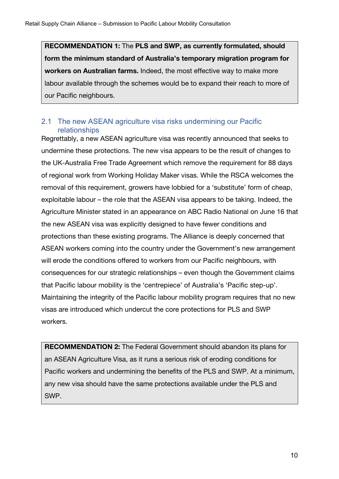**RECOMMENDATION 1:** The **PLS and SWP, as currently formulated, should form the minimum standard of Australia's temporary migration program for workers on Australian farms.** Indeed, the most effective way to make more labour available through the schemes would be to expand their reach to more of our Pacific neighbours.

### 2.1 The new ASEAN agriculture visa risks undermining our Pacific relationships

Regrettably, a new ASEAN agriculture visa was recently announced that seeks to undermine these protections. The new visa appears to be the result of changes to the UK-Australia Free Trade Agreement which remove the requirement for 88 days of regional work from Working Holiday Maker visas. While the RSCA welcomes the removal of this requirement, growers have lobbied for a 'substitute' form of cheap, exploitable labour – the role that the ASEAN visa appears to be taking. Indeed, the Agriculture Minister stated in an appearance on ABC Radio National on June 16 that the new ASEAN visa was explicitly designed to have fewer conditions and protections than these existing programs. The Alliance is deeply concerned that ASEAN workers coming into the country under the Government's new arrangement will erode the conditions offered to workers from our Pacific neighbours, with consequences for our strategic relationships – even though the Government claims that Pacific labour mobility is the 'centrepiece' of Australia's 'Pacific step-up'. Maintaining the integrity of the Pacific labour mobility program requires that no new visas are introduced which undercut the core protections for PLS and SWP workers.

**RECOMMENDATION 2:** The Federal Government should abandon its plans for an ASEAN Agriculture Visa, as it runs a serious risk of eroding conditions for Pacific workers and undermining the benefits of the PLS and SWP. At a minimum, any new visa should have the same protections available under the PLS and SWP.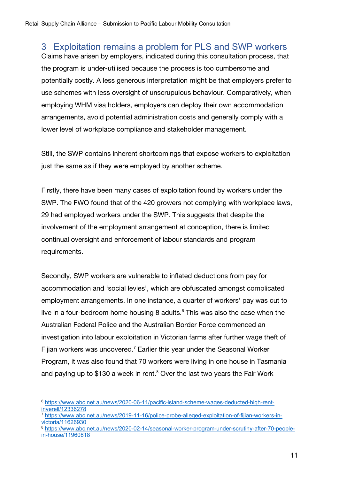# 3 Exploitation remains a problem for PLS and SWP workers

Claims have arisen by employers, indicated during this consultation process, that the program is under-utilised because the process is too cumbersome and potentially costly. A less generous interpretation might be that employers prefer to use schemes with less oversight of unscrupulous behaviour. Comparatively, when employing WHM visa holders, employers can deploy their own accommodation arrangements, avoid potential administration costs and generally comply with a lower level of workplace compliance and stakeholder management.

Still, the SWP contains inherent shortcomings that expose workers to exploitation just the same as if they were employed by another scheme.

Firstly, there have been many cases of exploitation found by workers under the SWP. The FWO found that of the 420 growers not complying with workplace laws, 29 had employed workers under the SWP. This suggests that despite the involvement of the employment arrangement at conception, there is limited continual oversight and enforcement of labour standards and program requirements.

Secondly, SWP workers are vulnerable to inflated deductions from pay for accommodation and 'social levies', which are obfuscated amongst complicated employment arrangements. In one instance, a quarter of workers' pay was cut to live in a four-bedroom home housing 8 adults. $6$  This was also the case when the Australian Federal Police and the Australian Border Force commenced an investigation into labour exploitation in Victorian farms after further wage theft of Fijian workers was uncovered.<sup>7</sup> Earlier this year under the Seasonal Worker Program, it was also found that 70 workers were living in one house in Tasmania and paying up to \$130 a week in rent. $8$  Over the last two years the Fair Work

<sup>6</sup> https://www.abc.net.au/news/2020-06-11/pacific-island-scheme-wages-deducted-high-rentinverell/12336278

<sup>7</sup> https://www.abc.net.au/news/2019-11-16/police-probe-alleged-exploitation-of-fijian-workers-invictoria/11626930

<sup>8</sup> https://www.abc.net.au/news/2020-02-14/seasonal-worker-program-under-scrutiny-after-70-peoplein-house/11960818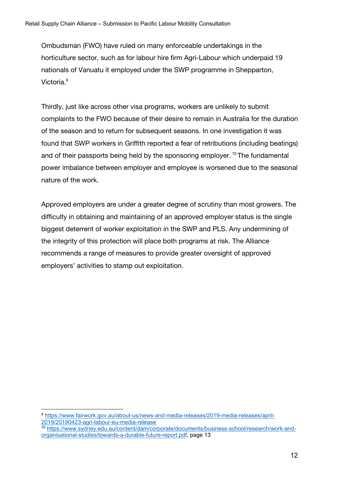Ombudsman (FWO) have ruled on many enforceable undertakings in the horticulture sector, such as for labour hire firm Agri-Labour which underpaid 19 nationals of Vanuatu it employed under the SWP programme in Shepparton, Victoria.<sup>9</sup>

Thirdly, just like across other visa programs, workers are unlikely to submit complaints to the FWO because of their desire to remain in Australia for the duration of the season and to return for subsequent seasons. In one investigation it was found that SWP workers in Griffith reported a fear of retributions (including beatings) and of their passports being held by the sponsoring employer.<sup>10</sup> The fundamental power imbalance between employer and employee is worsened due to the seasonal nature of the work.

Approved employers are under a greater degree of scrutiny than most growers. The difficulty in obtaining and maintaining of an approved employer status is the single biggest deterrent of worker exploitation in the SWP and PLS. Any undermining of the integrity of this protection will place both programs at risk. The Alliance recommends a range of measures to provide greater oversight of approved employers' activities to stamp out exploitation.

<sup>9</sup> https://www.fairwork.gov.au/about-us/news-and-media-releases/2019-media-releases/april-2019/20190423-agri-labour-eu-media-release

<sup>10</sup> https://www.sydney.edu.au/content/dam/corporate/documents/business-school/research/work-andorganisational-studies/towards-a-durable-future-report.pdf, page 13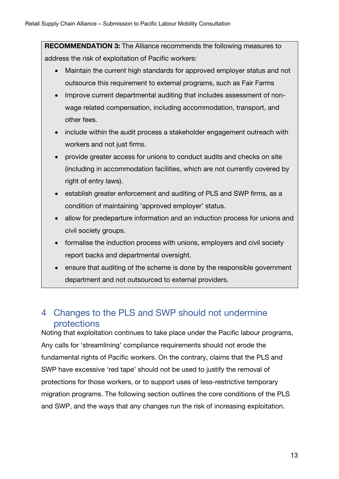**RECOMMENDATION 3:** The Alliance recommends the following measures to address the risk of exploitation of Pacific workers:

- Maintain the current high standards for approved employer status and not outsource this requirement to external programs, such as Fair Farms
- Improve current departmental auditing that includes assessment of nonwage related compensation, including accommodation, transport, and other fees.
- include within the audit process a stakeholder engagement outreach with workers and not just firms.
- provide greater access for unions to conduct audits and checks on site (including in accommodation facilities, which are not currently covered by right of entry laws).
- establish greater enforcement and auditing of PLS and SWP firms, as a condition of maintaining 'approved employer' status.
- allow for predeparture information and an induction process for unions and civil society groups.
- formalise the induction process with unions, employers and civil society report backs and departmental oversight.
- ensure that auditing of the scheme is done by the responsible government department and not outsourced to external providers.

# 4 Changes to the PLS and SWP should not undermine protections

Noting that exploitation continues to take place under the Pacific labour programs, Any calls for 'streamlining' compliance requirements should not erode the fundamental rights of Pacific workers. On the contrary, claims that the PLS and SWP have excessive 'red tape' should not be used to justify the removal of protections for those workers, or to support uses of less-restrictive temporary migration programs. The following section outlines the core conditions of the PLS and SWP, and the ways that any changes run the risk of increasing exploitation.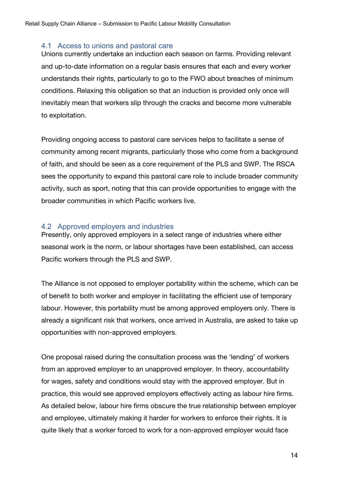#### 4.1 Access to unions and pastoral care

Unions currently undertake an induction each season on farms. Providing relevant and up-to-date information on a regular basis ensures that each and every worker understands their rights, particularly to go to the FWO about breaches of minimum conditions. Relaxing this obligation so that an induction is provided only once will inevitably mean that workers slip through the cracks and become more vulnerable to exploitation.

Providing ongoing access to pastoral care services helps to facilitate a sense of community among recent migrants, particularly those who come from a background of faith, and should be seen as a core requirement of the PLS and SWP. The RSCA sees the opportunity to expand this pastoral care role to include broader community activity, such as sport, noting that this can provide opportunities to engage with the broader communities in which Pacific workers live.

#### 4.2 Approved employers and industries

Presently, only approved employers in a select range of industries where either seasonal work is the norm, or labour shortages have been established, can access Pacific workers through the PLS and SWP.

The Alliance is not opposed to employer portability within the scheme, which can be of benefit to both worker and employer in facilitating the efficient use of temporary labour. However, this portability must be among approved employers only. There is already a significant risk that workers, once arrived in Australia, are asked to take up opportunities with non-approved employers.

One proposal raised during the consultation process was the 'lending' of workers from an approved employer to an unapproved employer. In theory, accountability for wages, safety and conditions would stay with the approved employer. But in practice, this would see approved employers effectively acting as labour hire firms. As detailed below, labour hire firms obscure the true relationship between employer and employee, ultimately making it harder for workers to enforce their rights. It is quite likely that a worker forced to work for a non-approved employer would face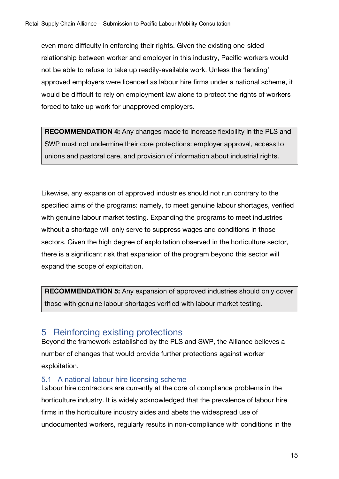even more difficulty in enforcing their rights. Given the existing one-sided relationship between worker and employer in this industry, Pacific workers would not be able to refuse to take up readily-available work. Unless the 'lending' approved employers were licenced as labour hire firms under a national scheme, it would be difficult to rely on employment law alone to protect the rights of workers forced to take up work for unapproved employers.

**RECOMMENDATION 4:** Any changes made to increase flexibility in the PLS and SWP must not undermine their core protections: employer approval, access to unions and pastoral care, and provision of information about industrial rights.

Likewise, any expansion of approved industries should not run contrary to the specified aims of the programs: namely, to meet genuine labour shortages, verified with genuine labour market testing. Expanding the programs to meet industries without a shortage will only serve to suppress wages and conditions in those sectors. Given the high degree of exploitation observed in the horticulture sector, there is a significant risk that expansion of the program beyond this sector will expand the scope of exploitation.

**RECOMMENDATION 5:** Any expansion of approved industries should only cover those with genuine labour shortages verified with labour market testing.

## 5 Reinforcing existing protections

Beyond the framework established by the PLS and SWP, the Alliance believes a number of changes that would provide further protections against worker exploitation.

## 5.1 A national labour hire licensing scheme

Labour hire contractors are currently at the core of compliance problems in the horticulture industry. It is widely acknowledged that the prevalence of labour hire firms in the horticulture industry aides and abets the widespread use of undocumented workers, regularly results in non-compliance with conditions in the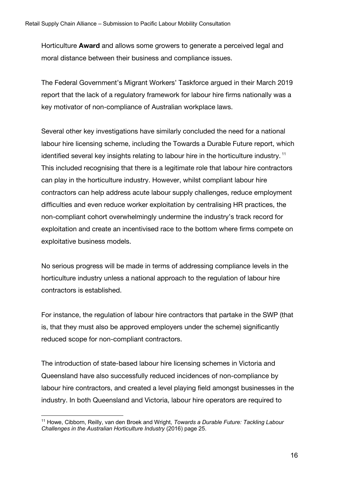Horticulture **Award** and allows some growers to generate a perceived legal and moral distance between their business and compliance issues.

The Federal Government's Migrant Workers' Taskforce argued in their March 2019 report that the lack of a regulatory framework for labour hire firms nationally was a key motivator of non-compliance of Australian workplace laws.

Several other key investigations have similarly concluded the need for a national labour hire licensing scheme, including the Towards a Durable Future report, which identified several key insights relating to labour hire in the horticulture industry.<sup>11</sup> This included recognising that there is a legitimate role that labour hire contractors can play in the horticulture industry. However, whilst compliant labour hire contractors can help address acute labour supply challenges, reduce employment difficulties and even reduce worker exploitation by centralising HR practices, the non-compliant cohort overwhelmingly undermine the industry's track record for exploitation and create an incentivised race to the bottom where firms compete on exploitative business models.

No serious progress will be made in terms of addressing compliance levels in the horticulture industry unless a national approach to the regulation of labour hire contractors is established.

For instance, the regulation of labour hire contractors that partake in the SWP (that is, that they must also be approved employers under the scheme) significantly reduced scope for non-compliant contractors.

The introduction of state-based labour hire licensing schemes in Victoria and Queensland have also successfully reduced incidences of non-compliance by labour hire contractors, and created a level playing field amongst businesses in the industry. In both Queensland and Victoria, labour hire operators are required to

<sup>11</sup> Howe, Cibborn, Reilly, van den Broek and Wright, *Towards a Durable Future: Tackling Labour Challenges in the Australian Horticulture Industry* (2016) page 25.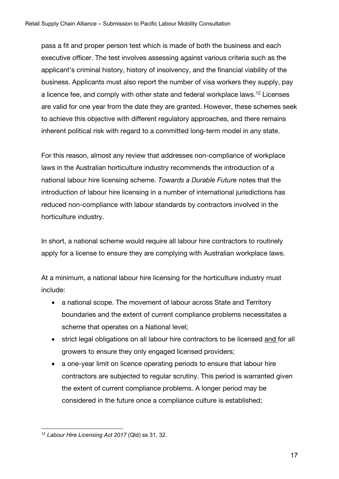pass a fit and proper person test which is made of both the business and each executive officer. The test involves assessing against various criteria such as the applicant's criminal history, history of insolvency, and the financial viability of the business. Applicants must also report the number of visa workers they supply, pay a licence fee, and comply with other state and federal workplace laws.<sup>12</sup> Licenses are valid for one year from the date they are granted. However, these schemes seek to achieve this objective with different regulatory approaches, and there remains inherent political risk with regard to a committed long-term model in any state.

For this reason, almost any review that addresses non-compliance of workplace laws in the Australian horticulture industry recommends the introduction of a national labour hire licensing scheme. *Towards a Durable Future* notes that the introduction of labour hire licensing in a number of international jurisdictions has reduced non-compliance with labour standards by contractors involved in the horticulture industry.

In short, a national scheme would require all labour hire contractors to routinely apply for a license to ensure they are complying with Australian workplace laws.

At a minimum, a national labour hire licensing for the horticulture industry must include:

- a national scope. The movement of labour across State and Territory boundaries and the extent of current compliance problems necessitates a scheme that operates on a National level;
- strict legal obligations on all labour hire contractors to be licensed and for all growers to ensure they only engaged licensed providers;
- a one-year limit on licence operating periods to ensure that labour hire contractors are subjected to regular scrutiny. This period is warranted given the extent of current compliance problems. A longer period may be considered in the future once a compliance culture is established;

<sup>12</sup> *Labour Hire Licensing Act 2017* (Qld) ss 31, 32.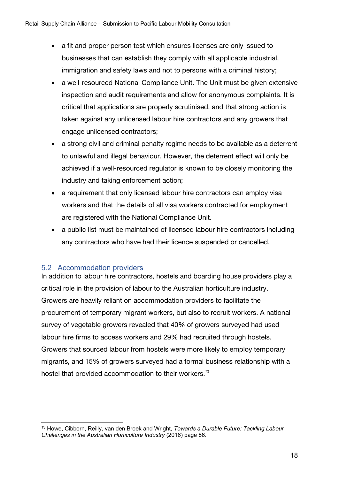- a fit and proper person test which ensures licenses are only issued to businesses that can establish they comply with all applicable industrial, immigration and safety laws and not to persons with a criminal history;
- a well-resourced National Compliance Unit. The Unit must be given extensive inspection and audit requirements and allow for anonymous complaints. It is critical that applications are properly scrutinised, and that strong action is taken against any unlicensed labour hire contractors and any growers that engage unlicensed contractors;
- a strong civil and criminal penalty regime needs to be available as a deterrent to unlawful and illegal behaviour. However, the deterrent effect will only be achieved if a well-resourced regulator is known to be closely monitoring the industry and taking enforcement action;
- a requirement that only licensed labour hire contractors can employ visa workers and that the details of all visa workers contracted for employment are registered with the National Compliance Unit.
- a public list must be maintained of licensed labour hire contractors including any contractors who have had their licence suspended or cancelled.

## 5.2 Accommodation providers

In addition to labour hire contractors, hostels and boarding house providers play a critical role in the provision of labour to the Australian horticulture industry. Growers are heavily reliant on accommodation providers to facilitate the procurement of temporary migrant workers, but also to recruit workers. A national survey of vegetable growers revealed that 40% of growers surveyed had used labour hire firms to access workers and 29% had recruited through hostels. Growers that sourced labour from hostels were more likely to employ temporary migrants, and 15% of growers surveyed had a formal business relationship with a hostel that provided accommodation to their workers.*<sup>13</sup>*

<sup>13</sup> Howe, Cibborn, Reilly, van den Broek and Wright, *Towards a Durable Future: Tackling Labour Challenges in the Australian Horticulture Industry* (2016) page 86.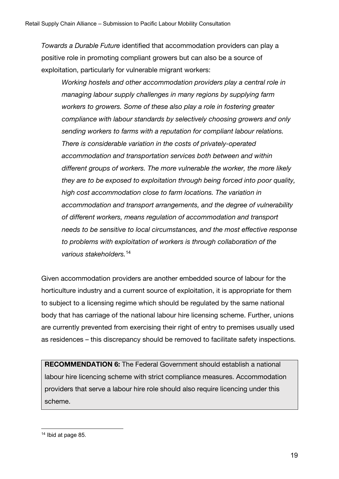*Towards a Durable Future* identified that accommodation providers can play a positive role in promoting compliant growers but can also be a source of exploitation, particularly for vulnerable migrant workers:

*Working hostels and other accommodation providers play a central role in managing labour supply challenges in many regions by supplying farm workers to growers. Some of these also play a role in fostering greater compliance with labour standards by selectively choosing growers and only sending workers to farms with a reputation for compliant labour relations. There is considerable variation in the costs of privately-operated accommodation and transportation services both between and within different groups of workers. The more vulnerable the worker, the more likely they are to be exposed to exploitation through being forced into poor quality, high cost accommodation close to farm locations. The variation in accommodation and transport arrangements, and the degree of vulnerability of different workers, means regulation of accommodation and transport needs to be sensitive to local circumstances, and the most effective response to problems with exploitation of workers is through collaboration of the various stakeholders.*<sup>14</sup>

Given accommodation providers are another embedded source of labour for the horticulture industry and a current source of exploitation, it is appropriate for them to subject to a licensing regime which should be regulated by the same national body that has carriage of the national labour hire licensing scheme. Further, unions are currently prevented from exercising their right of entry to premises usually used as residences – this discrepancy should be removed to facilitate safety inspections.

**RECOMMENDATION 6:** The Federal Government should establish a national labour hire licencing scheme with strict compliance measures. Accommodation providers that serve a labour hire role should also require licencing under this scheme.

<sup>&</sup>lt;sup>14</sup> Ibid at page 85.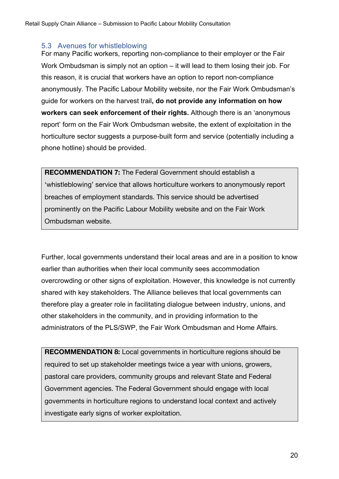#### 5.3 Avenues for whistleblowing

For many Pacific workers, reporting non-compliance to their employer or the Fair Work Ombudsman is simply not an option – it will lead to them losing their job. For this reason, it is crucial that workers have an option to report non-compliance anonymously. The Pacific Labour Mobility website, nor the Fair Work Ombudsman's guide for workers on the harvest trail**, do not provide any information on how workers can seek enforcement of their rights.** Although there is an 'anonymous report' form on the Fair Work Ombudsman website, the extent of exploitation in the horticulture sector suggests a purpose-built form and service (potentially including a phone hotline) should be provided.

**RECOMMENDATION 7:** The Federal Government should establish a 'whistleblowing' service that allows horticulture workers to anonymously report breaches of employment standards. This service should be advertised prominently on the Pacific Labour Mobility website and on the Fair Work Ombudsman website.

Further, local governments understand their local areas and are in a position to know earlier than authorities when their local community sees accommodation overcrowding or other signs of exploitation. However, this knowledge is not currently shared with key stakeholders. The Alliance believes that local governments can therefore play a greater role in facilitating dialogue between industry, unions, and other stakeholders in the community, and in providing information to the administrators of the PLS/SWP, the Fair Work Ombudsman and Home Affairs.

**RECOMMENDATION 8:** Local governments in horticulture regions should be required to set up stakeholder meetings twice a year with unions, growers, pastoral care providers, community groups and relevant State and Federal Government agencies. The Federal Government should engage with local governments in horticulture regions to understand local context and actively investigate early signs of worker exploitation.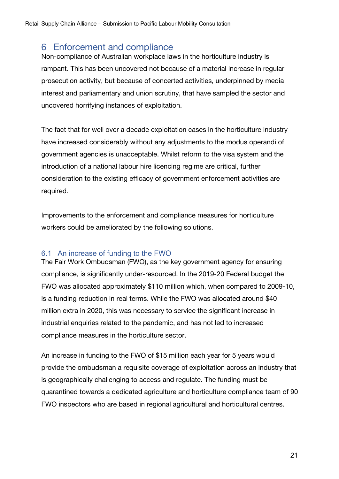## 6 Enforcement and compliance

Non-compliance of Australian workplace laws in the horticulture industry is rampant. This has been uncovered not because of a material increase in regular prosecution activity, but because of concerted activities, underpinned by media interest and parliamentary and union scrutiny, that have sampled the sector and uncovered horrifying instances of exploitation.

The fact that for well over a decade exploitation cases in the horticulture industry have increased considerably without any adjustments to the modus operandi of government agencies is unacceptable. Whilst reform to the visa system and the introduction of a national labour hire licencing regime are critical, further consideration to the existing efficacy of government enforcement activities are required.

Improvements to the enforcement and compliance measures for horticulture workers could be ameliorated by the following solutions.

## 6.1 An increase of funding to the FWO

The Fair Work Ombudsman (FWO), as the key government agency for ensuring compliance, is significantly under-resourced. In the 2019-20 Federal budget the FWO was allocated approximately \$110 million which, when compared to 2009-10, is a funding reduction in real terms. While the FWO was allocated around \$40 million extra in 2020, this was necessary to service the significant increase in industrial enquiries related to the pandemic, and has not led to increased compliance measures in the horticulture sector.

An increase in funding to the FWO of \$15 million each year for 5 years would provide the ombudsman a requisite coverage of exploitation across an industry that is geographically challenging to access and regulate. The funding must be quarantined towards a dedicated agriculture and horticulture compliance team of 90 FWO inspectors who are based in regional agricultural and horticultural centres.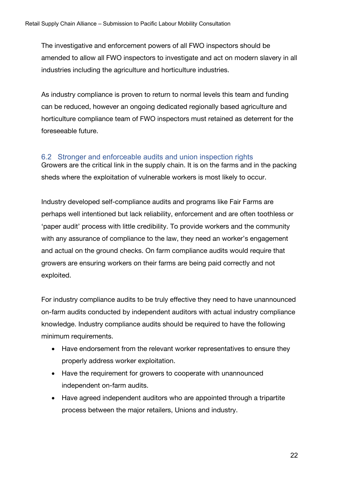The investigative and enforcement powers of all FWO inspectors should be amended to allow all FWO inspectors to investigate and act on modern slavery in all industries including the agriculture and horticulture industries.

As industry compliance is proven to return to normal levels this team and funding can be reduced, however an ongoing dedicated regionally based agriculture and horticulture compliance team of FWO inspectors must retained as deterrent for the foreseeable future.

## 6.2 Stronger and enforceable audits and union inspection rights

Growers are the critical link in the supply chain. It is on the farms and in the packing sheds where the exploitation of vulnerable workers is most likely to occur.

Industry developed self-compliance audits and programs like Fair Farms are perhaps well intentioned but lack reliability, enforcement and are often toothless or 'paper audit' process with little credibility. To provide workers and the community with any assurance of compliance to the law, they need an worker's engagement and actual on the ground checks. On farm compliance audits would require that growers are ensuring workers on their farms are being paid correctly and not exploited.

For industry compliance audits to be truly effective they need to have unannounced on-farm audits conducted by independent auditors with actual industry compliance knowledge. Industry compliance audits should be required to have the following minimum requirements.

- Have endorsement from the relevant worker representatives to ensure they properly address worker exploitation.
- Have the requirement for growers to cooperate with unannounced independent on-farm audits.
- Have agreed independent auditors who are appointed through a tripartite process between the major retailers, Unions and industry.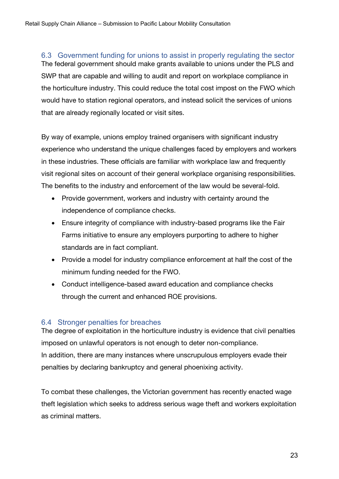6.3 Government funding for unions to assist in properly regulating the sector The federal government should make grants available to unions under the PLS and SWP that are capable and willing to audit and report on workplace compliance in the horticulture industry. This could reduce the total cost impost on the FWO which would have to station regional operators, and instead solicit the services of unions that are already regionally located or visit sites.

By way of example, unions employ trained organisers with significant industry experience who understand the unique challenges faced by employers and workers in these industries. These officials are familiar with workplace law and frequently visit regional sites on account of their general workplace organising responsibilities. The benefits to the industry and enforcement of the law would be several-fold.

- Provide government, workers and industry with certainty around the independence of compliance checks.
- Ensure integrity of compliance with industry-based programs like the Fair Farms initiative to ensure any employers purporting to adhere to higher standards are in fact compliant.
- Provide a model for industry compliance enforcement at half the cost of the minimum funding needed for the FWO.
- Conduct intelligence-based award education and compliance checks through the current and enhanced ROE provisions.

#### 6.4 Stronger penalties for breaches

The degree of exploitation in the horticulture industry is evidence that civil penalties imposed on unlawful operators is not enough to deter non-compliance. In addition, there are many instances where unscrupulous employers evade their penalties by declaring bankruptcy and general phoenixing activity.

To combat these challenges, the Victorian government has recently enacted wage theft legislation which seeks to address serious wage theft and workers exploitation as criminal matters.